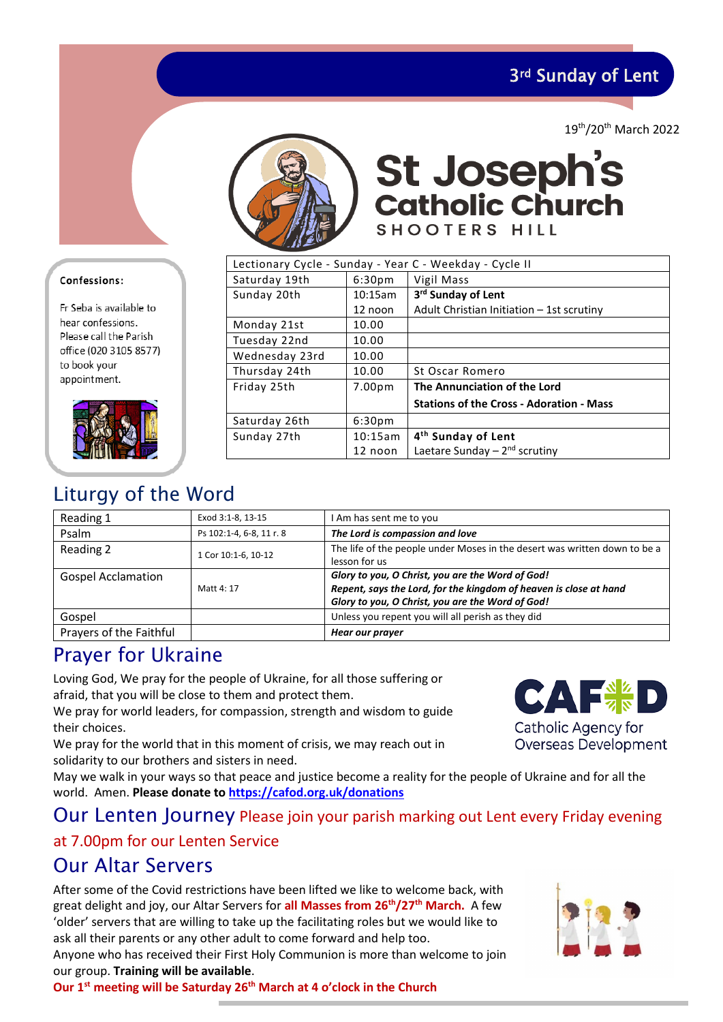3rd Sunday of Lent

19th/20th March 2022



St Joseph's<br>catholic Church SHOOTERS HILL

| Lectionary Cycle - Sunday - Year C - Weekday - Cycle II |                    |                                                 |  |  |
|---------------------------------------------------------|--------------------|-------------------------------------------------|--|--|
| Saturday 19th                                           | 6:30 <sub>pm</sub> | Vigil Mass                                      |  |  |
| Sunday 20th                                             | 10:15am            | 3rd Sunday of Lent                              |  |  |
|                                                         | 12 noon            | Adult Christian Initiation - 1st scrutiny       |  |  |
| Monday 21st                                             | 10.00              |                                                 |  |  |
| Tuesday 22nd                                            | 10.00              |                                                 |  |  |
| Wednesday 23rd                                          | 10.00              |                                                 |  |  |
| Thursday 24th                                           | 10.00              | St Oscar Romero                                 |  |  |
| Friday 25th                                             | 7.00 <sub>pm</sub> | The Annunciation of the Lord                    |  |  |
|                                                         |                    | <b>Stations of the Cross - Adoration - Mass</b> |  |  |
| Saturday 26th                                           | 6:30 <sub>pm</sub> |                                                 |  |  |
| Sunday 27th                                             | 10:15am            | 4 <sup>th</sup> Sunday of Lent                  |  |  |
|                                                         | 12 noon            | Laetare Sunday $-2nd$ scrutiny                  |  |  |
|                                                         |                    |                                                 |  |  |

### Confessions:

Fr Seba is available to hear confessions. Please call the Parish office (020 3105 8577) to book your appointment.



# Liturgy of the Word

| Reading 1                 | Exod 3:1-8, 13-15        | I Am has sent me to you                                                   |  |
|---------------------------|--------------------------|---------------------------------------------------------------------------|--|
| Psalm                     | Ps 102:1-4, 6-8, 11 r. 8 | The Lord is compassion and love                                           |  |
| Reading 2                 | 1 Cor 10:1-6, 10-12      | The life of the people under Moses in the desert was written down to be a |  |
|                           |                          | lesson for us                                                             |  |
| <b>Gospel Acclamation</b> |                          | Glory to you, O Christ, you are the Word of God!                          |  |
|                           | Matt 4: 17               | Repent, says the Lord, for the kingdom of heaven is close at hand         |  |
|                           |                          | Glory to you, O Christ, you are the Word of God!                          |  |
| Gospel                    |                          | Unless you repent you will all perish as they did                         |  |
| Prayers of the Faithful   |                          | Hear our prayer                                                           |  |

### Prayer for Ukraine

Loving God, We pray for the people of Ukraine, for all those suffering or afraid, that you will be close to them and protect them.

We pray for world leaders, for compassion, strength and wisdom to guide their choices.

We pray for the world that in this moment of crisis, we may reach out in solidarity to our brothers and sisters in need.

May we walk in your ways so that peace and justice become a reality for the people of Ukraine and for all the world. Amen. **Please donate to [https://cafod.org.uk/donations](https://cafod.org.uk/donations/picker?defaultuniversaltype=single&_Appeal=123770)**

### Our Lenten Journey Please join your parish marking out Lent every Friday evening

### at 7.00pm for our Lenten Service

## Our Altar Servers

After some of the Covid restrictions have been lifted we like to welcome back, with great delight and joy, our Altar Servers for **all Masses from 26th/27th March.** A few 'older' servers that are willing to take up the facilitating roles but we would like to ask all their parents or any other adult to come forward and help too.

Anyone who has received their First Holy Communion is more than welcome to join our group. **Training will be available**.

**Our 1st meeting will be Saturday 26th March at 4 o'clock in the Church** 



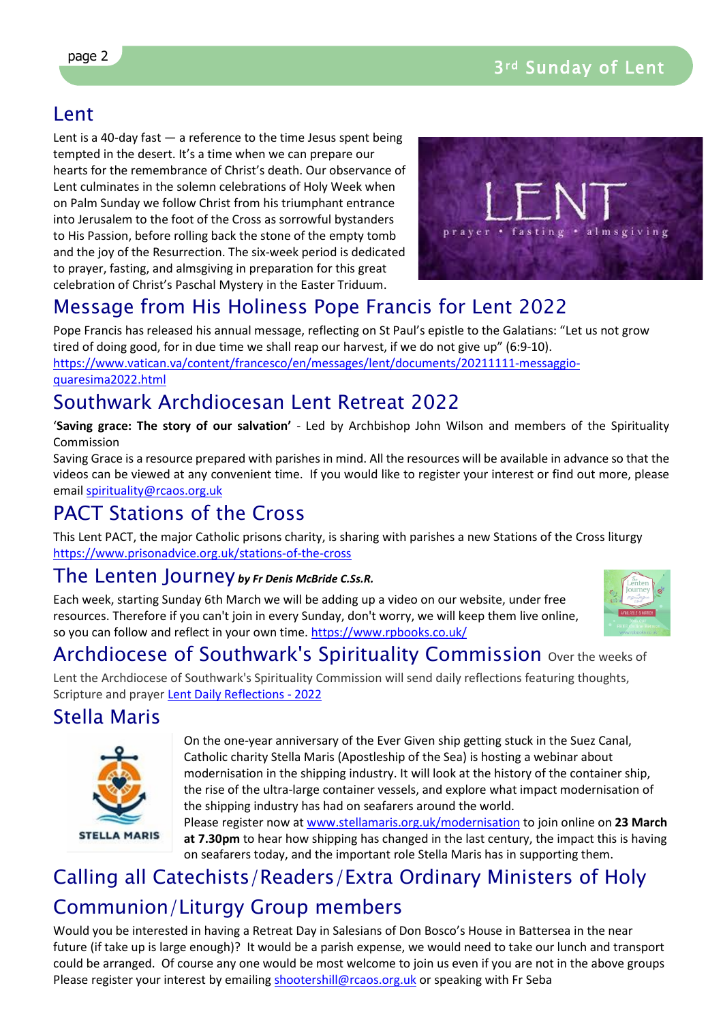## Lent

Lent is a 40-day fast  $-$  a reference to the time Jesus spent being tempted in the desert. It's a time when we can prepare our hearts for the remembrance of Christ's death. Our observance of Lent culminates in the solemn celebrations of Holy Week when on Palm Sunday we follow Christ from his triumphant entrance into Jerusalem to the foot of the Cross as sorrowful bystanders to His Passion, before rolling back the stone of the empty tomb and the joy of the Resurrection. The six-week period is dedicated to prayer, fasting, and almsgiving in preparation for this great celebration of Christ's Paschal Mystery in the Easter Triduum.



# Message from His Holiness Pope Francis for Lent 2022

Pope Francis has released his annual message, reflecting on St Paul's epistle to the Galatians: "Let us not grow tired of doing good, for in due time we shall reap our harvest, if we do not give up" (6:9-10). [https://www.vatican.va/content/francesco/en/messages/lent/documents/20211111-messaggio](https://www.vatican.va/content/francesco/en/messages/lent/documents/20211111-messaggio-quaresima2022.html)[quaresima2022.html](https://www.vatican.va/content/francesco/en/messages/lent/documents/20211111-messaggio-quaresima2022.html)

## Southwark Archdiocesan Lent Retreat 2022

'**Saving grace: The story of our salvation'** - Led by Archbishop John Wilson and members of the Spirituality Commission

Saving Grace is a resource prepared with parishes in mind. All the resources will be available in advance so that the videos can be viewed at any convenient time. If you would like to register your interest or find out more, please email [spirituality@rcaos.org.uk](mailto:spirituality@rcaos.org.uk) 

# PACT Stations of the Cross

This Lent PACT, the major Catholic prisons charity, is sharing with parishes a new Stations of the Cross liturgy <https://www.prisonadvice.org.uk/stations-of-the-cross>

### The Lenten Journey *by Fr Denis McBride C.Ss.R.*

Each week, starting Sunday 6th March we will be adding up a video on our website, under free resources. Therefore if you can't join in every Sunday, don't worry, we will keep them live online, so you can follow and reflect in your own time.<https://www.rpbooks.co.uk/>



# Archdiocese of Southwark's Spirituality Commission over the weeks of

Lent the Archdiocese of Southwark's Spirituality Commission will send daily reflections featuring thoughts, Scripture and prayer [Lent Daily Reflections - 2022](file://dcserver/mary/ST%20JOSEPH/NEWSLETTER/.%20%C2%A0https:/southwarkdsc.us11.list-manage.com/subscribe?u=a3e1dce7f8f666e9d64edd867&id=4f880b3b9c)

## Stella Maris



On the one-year anniversary of the Ever Given ship getting stuck in the Suez Canal, Catholic charity Stella Maris (Apostleship of the Sea) is hosting a webinar about modernisation in the shipping industry. It will look at the history of the container ship, the rise of the ultra-large container vessels, and explore what impact modernisation of the shipping industry has had on seafarers around the world.

Please register now at [www.stellamaris.org.uk/modernisation](http://www.stellamaris.org.uk/modernisation) to join online on **23 March at 7.30pm** to hear how shipping has changed in the last century, the impact this is having on seafarers today, and the important role Stella Maris has in supporting them.

# Calling all Catechists/Readers/Extra Ordinary Ministers of Holy Communion/Liturgy Group members

Would you be interested in having a Retreat Day in Salesians of Don Bosco's House in Battersea in the near future (if take up is large enough)? It would be a parish expense, we would need to take our lunch and transport could be arranged. Of course any one would be most welcome to join us even if you are not in the above groups Please register your interest by emailing [shootershill@rcaos.org.uk](mailto:shootershill@rcaos.org.uk) or speaking with Fr Seba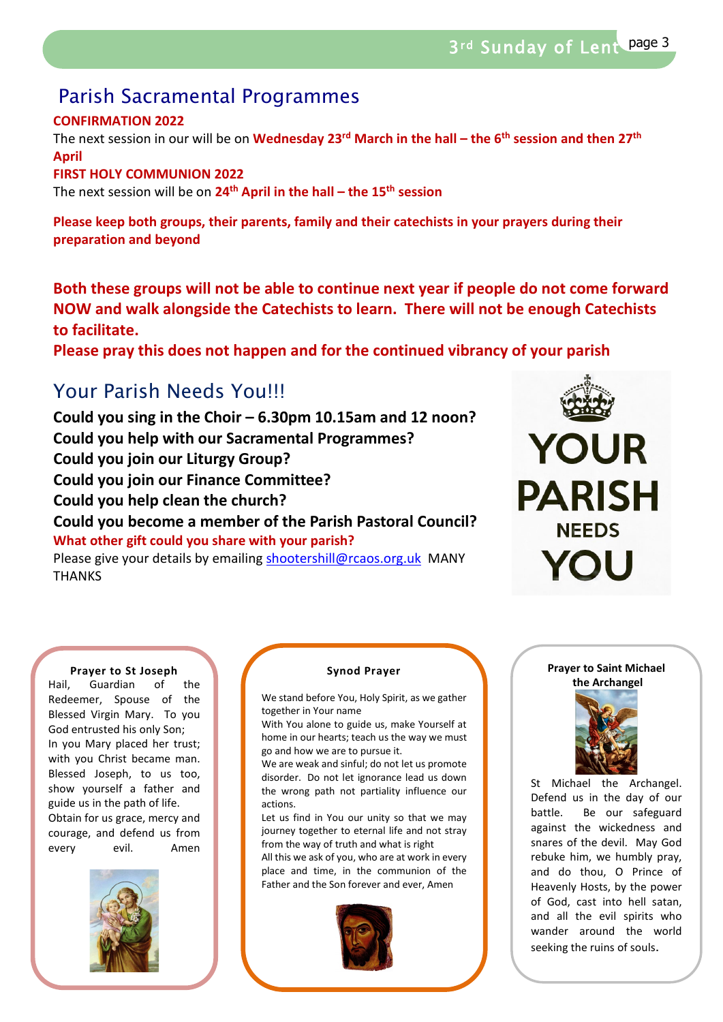## Parish Sacramental Programmes

### **CONFIRMATION 2022**

The next session in our will be on **Wednesday 23rd March in the hall – the 6th session and then 27th April** 

#### **FIRST HOLY COMMUNION 2022**

The next session will be on **24th April in the hall – the 15th session**

**Please keep both groups, their parents, family and their catechists in your prayers during their preparation and beyond**

**Both these groups will not be able to continue next year if people do not come forward NOW and walk alongside the Catechists to learn. There will not be enough Catechists to facilitate.** 

**Please pray this does not happen and for the continued vibrancy of your parish** 

## Your Parish Needs You!!!

**Could you sing in the Choir – 6.30pm 10.15am and 12 noon? Could you help with our Sacramental Programmes? Could you join our Liturgy Group? Could you join our Finance Committee? Could you help clean the church? Could you become a member of the Parish Pastoral Council? What other gift could you share with your parish?** Please give your details by emailing [shootershill@rcaos.org.uk](mailto:shootershill@rcaos.org.uk) MANY **THANKS** 



#### **Prayer to St Joseph**

Hail, Guardian of the Redeemer, Spouse of the Blessed Virgin Mary. To you God entrusted his only Son; In you Mary placed her trust; with you Christ became man. Blessed Joseph, to us too, show yourself a father and guide us in the path of life. Obtain for us grace, mercy and courage, and defend us from every evil. Amen



#### **Synod Prayer**

We stand before You, Holy Spirit, as we gather together in Your name

With You alone to guide us, make Yourself at home in our hearts; teach us the way we must go and how we are to pursue it.

We are weak and sinful; do not let us promote disorder. Do not let ignorance lead us down the wrong path not partiality influence our actions.

Let us find in You our unity so that we may journey together to eternal life and not stray from the way of truth and what is right All this we ask of you, who are at work in every

place and time, in the communion of the Father and the Son forever and ever, Amen



#### **Prayer to Saint Michael the Archangel**



St Michael the Archangel. Defend us in the day of our battle. Be our safeguard against the wickedness and snares of the devil. May God rebuke him, we humbly pray, and do thou, O Prince of Heavenly Hosts, by the power of God, cast into hell satan, and all the evil spirits who wander around the world seeking the ruins of souls.